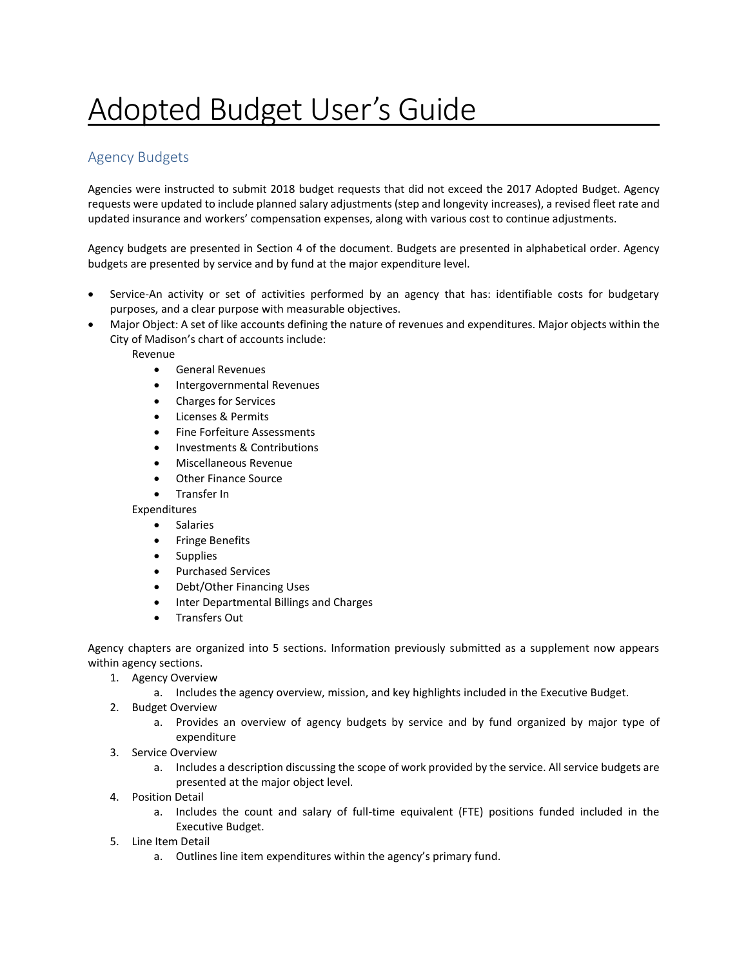# Adopted Budget User's Guide

## Agency Budgets

Agencies were instructed to submit 2018 budget requests that did not exceed the 2017 Adopted Budget. Agency requests were updated to include planned salary adjustments (step and longevity increases), a revised fleet rate and updated insurance and workers' compensation expenses, along with various cost to continue adjustments.

Agency budgets are presented in Section 4 of the document. Budgets are presented in alphabetical order. Agency budgets are presented by service and by fund at the major expenditure level.

- Service-An activity or set of activities performed by an agency that has: identifiable costs for budgetary purposes, and a clear purpose with measurable objectives.
- Major Object: A set of like accounts defining the nature of revenues and expenditures. Major objects within the City of Madison's chart of accounts include:

Revenue

- General Revenues
- Intergovernmental Revenues
- Charges for Services
- Licenses & Permits
- Fine Forfeiture Assessments
- Investments & Contributions
- Miscellaneous Revenue
- Other Finance Source
- Transfer In

Expenditures

- **•** Salaries
- **•** Fringe Benefits
- Supplies
- Purchased Services
- Debt/Other Financing Uses
- Inter Departmental Billings and Charges
- Transfers Out

Agency chapters are organized into 5 sections. Information previously submitted as a supplement now appears within agency sections.

- 1. Agency Overview
	- a. Includes the agency overview, mission, and key highlights included in the Executive Budget.
- 2. Budget Overview
	- a. Provides an overview of agency budgets by service and by fund organized by major type of expenditure
- 3. Service Overview
	- a. Includes a description discussing the scope of work provided by the service. All service budgets are presented at the major object level.
- 4. Position Detail
	- a. Includes the count and salary of full-time equivalent (FTE) positions funded included in the Executive Budget.
- 5. Line Item Detail
	- a. Outlines line item expenditures within the agency's primary fund.